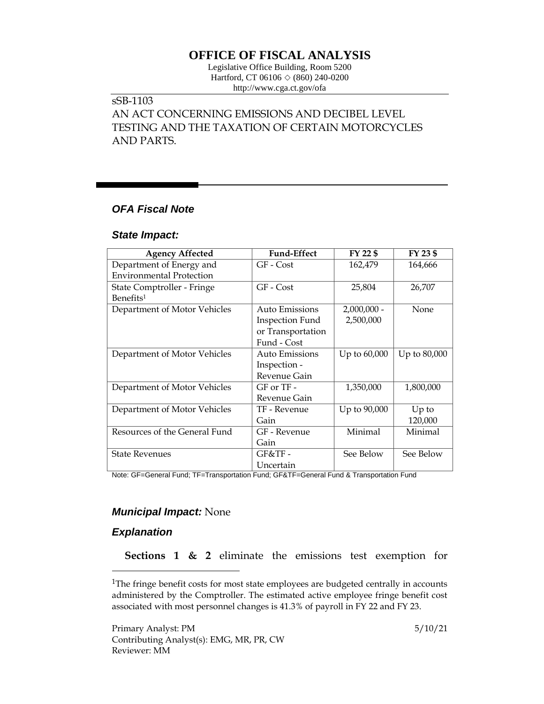## **OFFICE OF FISCAL ANALYSIS**

Legislative Office Building, Room 5200 Hartford, CT 06106  $\Diamond$  (860) 240-0200 http://www.cga.ct.gov/ofa

# sSB-1103

AN ACT CONCERNING EMISSIONS AND DECIBEL LEVEL TESTING AND THE TAXATION OF CERTAIN MOTORCYCLES AND PARTS.

## *OFA Fiscal Note*

#### *State Impact:*

| <b>Agency Affected</b>          | <b>Fund-Effect</b>     | FY 22 \$      | FY 23 \$     |
|---------------------------------|------------------------|---------------|--------------|
| Department of Energy and        | GF - Cost              | 162,479       | 164,666      |
| <b>Environmental Protection</b> |                        |               |              |
| State Comptroller - Fringe      | GF - Cost              | 25,804        | 26,707       |
| Benefits <sup>1</sup>           |                        |               |              |
| Department of Motor Vehicles    | <b>Auto Emissions</b>  | $2,000,000 -$ | None         |
|                                 | <b>Inspection Fund</b> | 2,500,000     |              |
|                                 | or Transportation      |               |              |
|                                 | Fund - Cost            |               |              |
| Department of Motor Vehicles    | Auto Emissions         | Up to 60,000  | Up to 80,000 |
|                                 | Inspection -           |               |              |
|                                 | Revenue Gain           |               |              |
| Department of Motor Vehicles    | $GF$ or $TF -$         | 1,350,000     | 1,800,000    |
|                                 | Revenue Gain           |               |              |
| Department of Motor Vehicles    | TF - Revenue           | Up to 90,000  | $Up$ to      |
|                                 | Gain                   |               | 120,000      |
| Resources of the General Fund   | GF - Revenue           | Minimal       | Minimal      |
|                                 | Gain                   |               |              |
| <b>State Revenues</b>           | $GF&TF-$               | See Below     | See Below    |
|                                 | Uncertain              |               |              |

Note: GF=General Fund; TF=Transportation Fund; GF&TF=General Fund & Transportation Fund

#### *Municipal Impact:* None

## *Explanation*

 $\overline{a}$ 

**Sections 1 & 2** eliminate the emissions test exemption for

<sup>1</sup>The fringe benefit costs for most state employees are budgeted centrally in accounts administered by the Comptroller. The estimated active employee fringe benefit cost associated with most personnel changes is 41.3% of payroll in FY 22 and FY 23.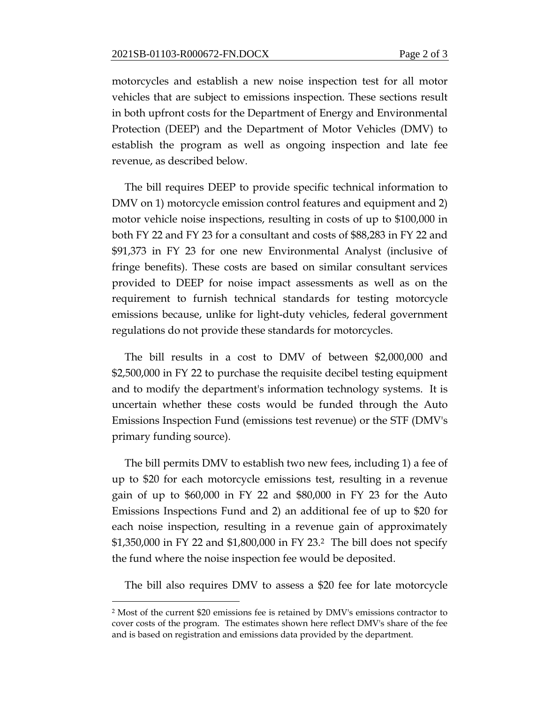motorcycles and establish a new noise inspection test for all motor vehicles that are subject to emissions inspection. These sections result in both upfront costs for the Department of Energy and Environmental Protection (DEEP) and the Department of Motor Vehicles (DMV) to establish the program as well as ongoing inspection and late fee revenue, as described below.

The bill requires DEEP to provide specific technical information to DMV on 1) motorcycle emission control features and equipment and 2) motor vehicle noise inspections, resulting in costs of up to \$100,000 in both FY 22 and FY 23 for a consultant and costs of \$88,283 in FY 22 and \$91,373 in FY 23 for one new Environmental Analyst (inclusive of fringe benefits). These costs are based on similar consultant services provided to DEEP for noise impact assessments as well as on the requirement to furnish technical standards for testing motorcycle emissions because, unlike for light-duty vehicles, federal government regulations do not provide these standards for motorcycles.

The bill results in a cost to DMV of between \$2,000,000 and \$2,500,000 in FY 22 to purchase the requisite decibel testing equipment and to modify the department's information technology systems. It is uncertain whether these costs would be funded through the Auto Emissions Inspection Fund (emissions test revenue) or the STF (DMV's primary funding source).

The bill permits DMV to establish two new fees, including 1) a fee of up to \$20 for each motorcycle emissions test, resulting in a revenue gain of up to \$60,000 in FY 22 and \$80,000 in FY 23 for the Auto Emissions Inspections Fund and 2) an additional fee of up to \$20 for each noise inspection, resulting in a revenue gain of approximately \$1,350,000 in FY 22 and \$1,800,000 in FY 23.2 The bill does not specify the fund where the noise inspection fee would be deposited.

The bill also requires DMV to assess a \$20 fee for late motorcycle

 $\overline{a}$ 

<sup>2</sup> Most of the current \$20 emissions fee is retained by DMV's emissions contractor to cover costs of the program. The estimates shown here reflect DMV's share of the fee and is based on registration and emissions data provided by the department.